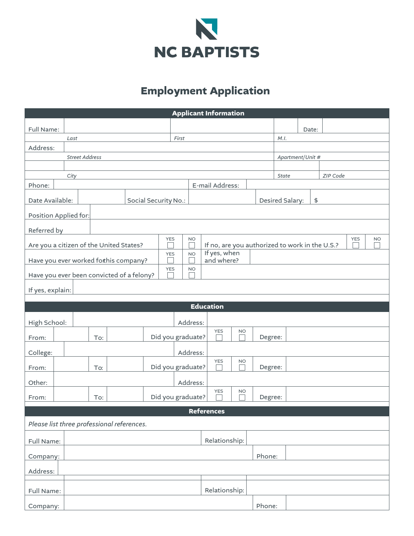

## **Employment Application**

| <b>Applicant Information</b>               |                                                                                                               |                                 |  |  |            |                                              |                                                              |         |                       |                  |       |  |  |           |  |
|--------------------------------------------|---------------------------------------------------------------------------------------------------------------|---------------------------------|--|--|------------|----------------------------------------------|--------------------------------------------------------------|---------|-----------------------|------------------|-------|--|--|-----------|--|
|                                            |                                                                                                               |                                 |  |  |            |                                              |                                                              |         |                       |                  |       |  |  |           |  |
| Full Name:                                 | Last                                                                                                          |                                 |  |  | First      |                                              |                                                              |         |                       | M.I.             | Date: |  |  |           |  |
| Address:                                   |                                                                                                               |                                 |  |  |            |                                              |                                                              |         |                       |                  |       |  |  |           |  |
| <b>Street Address</b>                      |                                                                                                               |                                 |  |  |            |                                              |                                                              |         |                       | Apartment/Unit # |       |  |  |           |  |
|                                            |                                                                                                               |                                 |  |  |            |                                              |                                                              |         |                       |                  |       |  |  |           |  |
| ZIP Code<br>City<br><b>State</b>           |                                                                                                               |                                 |  |  |            |                                              |                                                              |         |                       |                  |       |  |  |           |  |
| Phone:<br>E-mail Address:                  |                                                                                                               |                                 |  |  |            |                                              |                                                              |         |                       |                  |       |  |  |           |  |
| Date Available:<br>Social Security No.:    |                                                                                                               |                                 |  |  |            |                                              |                                                              |         | Desired Salary:<br>\$ |                  |       |  |  |           |  |
| Position Applied for:                      |                                                                                                               |                                 |  |  |            |                                              |                                                              |         |                       |                  |       |  |  |           |  |
| Referred by                                |                                                                                                               |                                 |  |  |            |                                              |                                                              |         |                       |                  |       |  |  |           |  |
| Are you a citizen of the United States?    |                                                                                                               |                                 |  |  | <b>YES</b> | <b>NO</b>                                    | <b>YES</b><br>If no, are you authorized to work in the U.S.? |         |                       |                  |       |  |  | <b>NO</b> |  |
|                                            |                                                                                                               |                                 |  |  | <b>YES</b> | <b>NO</b>                                    | If yes, when<br>and where?                                   |         |                       |                  |       |  |  |           |  |
|                                            | Have you ever worked forthis company?<br><b>YES</b><br><b>NO</b><br>Have you ever been convicted of a felony? |                                 |  |  |            |                                              |                                                              |         |                       |                  |       |  |  |           |  |
|                                            |                                                                                                               |                                 |  |  |            |                                              |                                                              |         |                       |                  |       |  |  |           |  |
| If yes, explain:                           |                                                                                                               |                                 |  |  |            |                                              |                                                              |         |                       |                  |       |  |  |           |  |
| <b>Education</b>                           |                                                                                                               |                                 |  |  |            |                                              |                                                              |         |                       |                  |       |  |  |           |  |
| High School:                               |                                                                                                               |                                 |  |  |            | Address:                                     |                                                              |         |                       |                  |       |  |  |           |  |
| From:                                      |                                                                                                               | To:                             |  |  |            | Did you graduate?                            | <b>YES</b><br>and a                                          | Degree: |                       |                  |       |  |  |           |  |
| College:                                   |                                                                                                               |                                 |  |  |            | Address:                                     |                                                              |         |                       |                  |       |  |  |           |  |
| From:                                      |                                                                                                               | To:                             |  |  |            | <b>YES</b><br><b>NO</b><br>Did you graduate? |                                                              |         |                       | Degree:          |       |  |  |           |  |
| Other:                                     |                                                                                                               | Address:                        |  |  |            |                                              |                                                              |         |                       |                  |       |  |  |           |  |
|                                            |                                                                                                               | <b>YES</b><br>Did you graduate? |  |  |            |                                              | <b>NO</b>                                                    |         |                       |                  |       |  |  |           |  |
| From:                                      |                                                                                                               | To:                             |  |  |            |                                              |                                                              |         | Degree:               |                  |       |  |  |           |  |
| <b>References</b>                          |                                                                                                               |                                 |  |  |            |                                              |                                                              |         |                       |                  |       |  |  |           |  |
| Please list three professional references. |                                                                                                               |                                 |  |  |            |                                              |                                                              |         |                       |                  |       |  |  |           |  |
|                                            | Relationship:<br>Full Name:                                                                                   |                                 |  |  |            |                                              |                                                              |         |                       |                  |       |  |  |           |  |
| Phone:<br>Company:                         |                                                                                                               |                                 |  |  |            |                                              |                                                              |         |                       |                  |       |  |  |           |  |
| Address:                                   |                                                                                                               |                                 |  |  |            |                                              |                                                              |         |                       |                  |       |  |  |           |  |
| Full Name:                                 |                                                                                                               |                                 |  |  |            |                                              | Relationship:                                                |         |                       |                  |       |  |  |           |  |
| Company:                                   |                                                                                                               |                                 |  |  |            |                                              |                                                              |         | Phone:                |                  |       |  |  |           |  |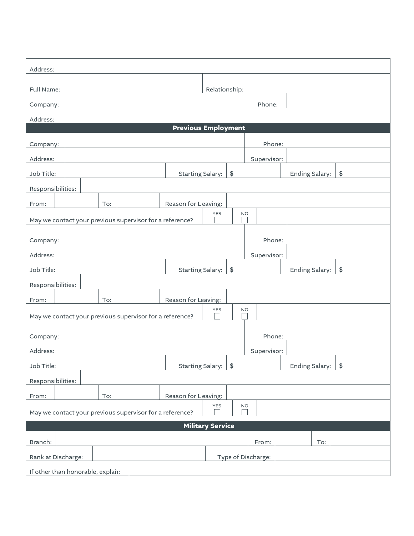| Address:                                                                            |                                           |     |                                                          |                               |            |                    |           |        |                             |                             |  |
|-------------------------------------------------------------------------------------|-------------------------------------------|-----|----------------------------------------------------------|-------------------------------|------------|--------------------|-----------|--------|-----------------------------|-----------------------------|--|
| Full Name:                                                                          | Relationship:                             |     |                                                          |                               |            |                    |           |        |                             |                             |  |
| Company:                                                                            |                                           |     |                                                          |                               |            |                    |           | Phone: |                             |                             |  |
| Address:                                                                            |                                           |     |                                                          |                               |            |                    |           |        |                             |                             |  |
| <b>Previous Employment</b>                                                          |                                           |     |                                                          |                               |            |                    |           |        |                             |                             |  |
| Company:                                                                            | Phone:                                    |     |                                                          |                               |            |                    |           |        |                             |                             |  |
| Address:                                                                            | Supervisor:                               |     |                                                          |                               |            |                    |           |        |                             |                             |  |
| Job Title:                                                                          |                                           |     |                                                          | \$<br><b>Starting Salary:</b> |            |                    |           |        | Ending Salary:              | $\boldsymbol{\hat{\theta}}$ |  |
| Responsibilities:                                                                   |                                           |     |                                                          |                               |            |                    |           |        |                             |                             |  |
| From:                                                                               |                                           | To: |                                                          | Reason for Leaving:           |            |                    |           |        |                             |                             |  |
|                                                                                     |                                           |     | May we contact your previous supervisor for a reference? |                               | <b>YES</b> |                    | <b>NO</b> |        |                             |                             |  |
| Company:                                                                            |                                           |     |                                                          |                               |            |                    |           | Phone: |                             |                             |  |
| Address:                                                                            | Supervisor:                               |     |                                                          |                               |            |                    |           |        |                             |                             |  |
| Job Title:                                                                          | $$$<br>Ending Salary:<br>Starting Salary: |     |                                                          |                               |            |                    |           |        | $\boldsymbol{\hat{\theta}}$ |                             |  |
| Responsibilities:                                                                   |                                           |     |                                                          |                               |            |                    |           |        |                             |                             |  |
| From:                                                                               |                                           | To: |                                                          | Reason for Leaving:           |            |                    |           |        |                             |                             |  |
| <b>YES</b><br><b>NO</b><br>May we contact your previous supervisor for a reference? |                                           |     |                                                          |                               |            |                    |           |        |                             |                             |  |
|                                                                                     |                                           |     |                                                          |                               |            |                    |           |        |                             |                             |  |
| Company:                                                                            | Phone:                                    |     |                                                          |                               |            |                    |           |        |                             |                             |  |
| Address:                                                                            | Supervisor:                               |     |                                                          |                               |            |                    |           |        |                             |                             |  |
| Job Title:                                                                          |                                           |     |                                                          | Starting Salary:<br>$$$       |            |                    |           |        | Ending Salary:              | $\sqrt[6]{2}$               |  |
| Responsibilities:                                                                   |                                           |     |                                                          |                               |            |                    |           |        |                             |                             |  |
| Reason for Leaving:<br>To:<br>From:                                                 |                                           |     |                                                          |                               |            |                    |           |        |                             |                             |  |
| <b>YES</b><br><b>NO</b><br>May we contact your previous supervisor for a reference? |                                           |     |                                                          |                               |            |                    |           |        |                             |                             |  |
| <b>Military Service</b>                                                             |                                           |     |                                                          |                               |            |                    |           |        |                             |                             |  |
| Branch:                                                                             |                                           |     |                                                          |                               |            |                    |           | From:  | To:                         |                             |  |
| Rank at Discharge:                                                                  |                                           |     |                                                          |                               |            | Type of Discharge: |           |        |                             |                             |  |
| If other than honorable, explan:                                                    |                                           |     |                                                          |                               |            |                    |           |        |                             |                             |  |